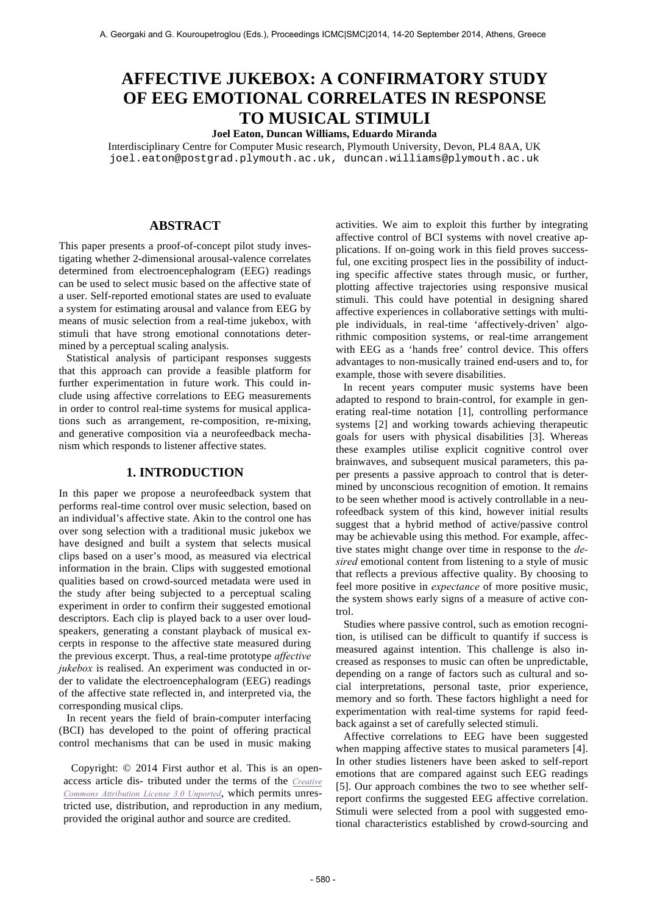# **AFFECTIVE JUKEBOX: A CONFIRMATORY STUDY OF EEG EMOTIONAL CORRELATES IN RESPONSE TO MUSICAL STIMULI**

# **Joel Eaton, Duncan Williams, Eduardo Miranda**

Interdisciplinary Centre for Computer Music research, Plymouth University, Devon, PL4 8AA, UK joel.eaton@postgrad.plymouth.ac.uk, duncan.williams@plymouth.ac.uk

## **ABSTRACT**

This paper presents a proof-of-concept pilot study investigating whether 2-dimensional arousal-valence correlates determined from electroencephalogram (EEG) readings can be used to select music based on the affective state of a user. Self-reported emotional states are used to evaluate a system for estimating arousal and valance from EEG by means of music selection from a real-time jukebox, with stimuli that have strong emotional connotations determined by a perceptual scaling analysis.

Statistical analysis of participant responses suggests that this approach can provide a feasible platform for further experimentation in future work. This could include using affective correlations to EEG measurements in order to control real-time systems for musical applications such as arrangement, re-composition, re-mixing, and generative composition via a neurofeedback mechanism which responds to listener affective states.

# **1. INTRODUCTION**

In this paper we propose a neurofeedback system that performs real-time control over music selection, based on an individual's affective state. Akin to the control one has over song selection with a traditional music jukebox we have designed and built a system that selects musical clips based on a user's mood, as measured via electrical information in the brain. Clips with suggested emotional qualities based on crowd-sourced metadata were used in the study after being subjected to a perceptual scaling experiment in order to confirm their suggested emotional descriptors. Each clip is played back to a user over loudspeakers, generating a constant playback of musical excerpts in response to the affective state measured during the previous excerpt. Thus, a real-time prototype *affective jukebox* is realised. An experiment was conducted in order to validate the electroencephalogram (EEG) readings of the affective state reflected in, and interpreted via, the corresponding musical clips.

In recent years the field of brain-computer interfacing (BCI) has developed to the point of offering practical control mechanisms that can be used in music making

Copyright: © 2014 First author et al. This is an openaccess article dis- tributed under the terms of the *Creative Commons Attribution License 3.0 Unported*, which permits unrestricted use, distribution, and reproduction in any medium, provided the original author and source are credited.

activities. We aim to exploit this further by integrating affective control of BCI systems with novel creative applications. If on-going work in this field proves successful, one exciting prospect lies in the possibility of inducting specific affective states through music, or further, plotting affective trajectories using responsive musical stimuli. This could have potential in designing shared affective experiences in collaborative settings with multiple individuals, in real-time 'affectively-driven' algorithmic composition systems, or real-time arrangement with EEG as a 'hands free' control device. This offers advantages to non-musically trained end-users and to, for example, those with severe disabilities.

In recent years computer music systems have been adapted to respond to brain-control, for example in generating real-time notation [1], controlling performance systems [2] and working towards achieving therapeutic goals for users with physical disabilities [3]. Whereas these examples utilise explicit cognitive control over brainwaves, and subsequent musical parameters, this paper presents a passive approach to control that is determined by unconscious recognition of emotion. It remains to be seen whether mood is actively controllable in a neurofeedback system of this kind, however initial results suggest that a hybrid method of active/passive control may be achievable using this method. For example, affective states might change over time in response to the *desired* emotional content from listening to a style of music that reflects a previous affective quality. By choosing to feel more positive in *expectance* of more positive music, the system shows early signs of a measure of active control.

Studies where passive control, such as emotion recognition, is utilised can be difficult to quantify if success is measured against intention. This challenge is also increased as responses to music can often be unpredictable, depending on a range of factors such as cultural and social interpretations, personal taste, prior experience, memory and so forth. These factors highlight a need for experimentation with real-time systems for rapid feedback against a set of carefully selected stimuli.

Affective correlations to EEG have been suggested when mapping affective states to musical parameters [4]. In other studies listeners have been asked to self-report emotions that are compared against such EEG readings [5]. Our approach combines the two to see whether selfreport confirms the suggested EEG affective correlation. Stimuli were selected from a pool with suggested emotional characteristics established by crowd-sourcing and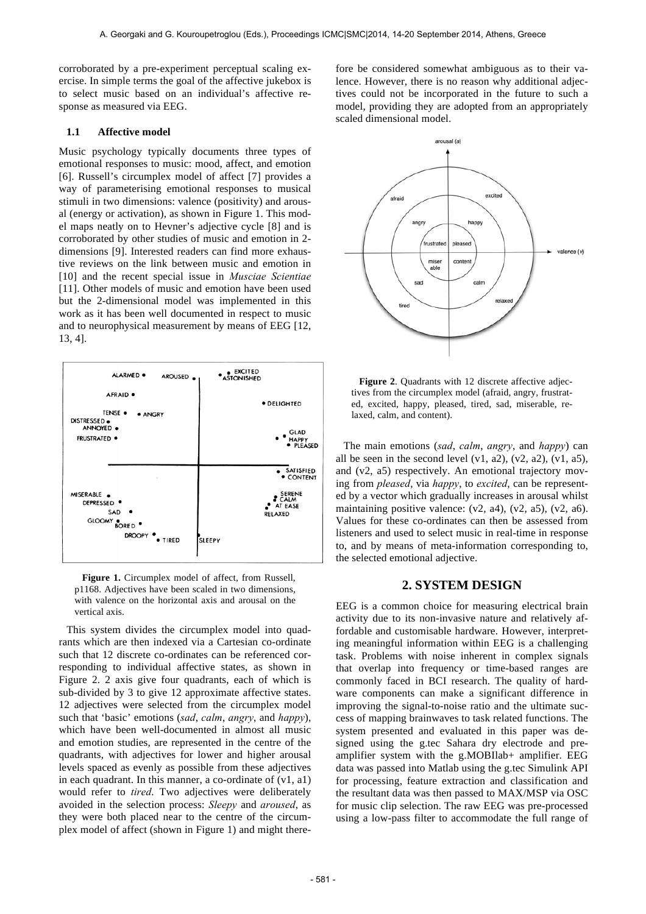corroborated by a pre-experiment perceptual scaling exercise. In simple terms the goal of the affective jukebox is to select music based on an individual's affective response as measured via EEG.

## **1.1 Affective model**

Music psychology typically documents three types of emotional responses to music: mood, affect, and emotion [6]. Russell's circumplex model of affect [7] provides a way of parameterising emotional responses to musical stimuli in two dimensions: valence (positivity) and arousal (energy or activation), as shown in Figure 1. This model maps neatly on to Hevner's adjective cycle [8] and is corroborated by other studies of music and emotion in 2 dimensions [9]. Interested readers can find more exhaustive reviews on the link between music and emotion in [10] and the recent special issue in *Musciae Scientiae* [11]. Other models of music and emotion have been used but the 2-dimensional model was implemented in this work as it has been well documented in respect to music and to neurophysical measurement by means of EEG [12, 13, 4].



**Figure 1.** Circumplex model of affect, from Russell, p1168. Adjectives have been scaled in two dimensions, with valence on the horizontal axis and arousal on the vertical axis.

This system divides the circumplex model into quadrants which are then indexed via a Cartesian co-ordinate such that 12 discrete co-ordinates can be referenced corresponding to individual affective states, as shown in Figure 2. 2 axis give four quadrants, each of which is sub-divided by 3 to give 12 approximate affective states. 12 adjectives were selected from the circumplex model such that 'basic' emotions (*sad*, *calm*, *angry*, and *happy*), which have been well-documented in almost all music and emotion studies, are represented in the centre of the quadrants, with adjectives for lower and higher arousal levels spaced as evenly as possible from these adjectives in each quadrant. In this manner, a co-ordinate of  $(v1, a1)$ would refer to *tired*. Two adjectives were deliberately avoided in the selection process: *Sleepy* and *aroused*, as they were both placed near to the centre of the circumplex model of affect (shown in Figure 1) and might there-

fore be considered somewhat ambiguous as to their valence. However, there is no reason why additional adjectives could not be incorporated in the future to such a model, providing they are adopted from an appropriately scaled dimensional model.



**Figure 2**. Quadrants with 12 discrete affective adjectives from the circumplex model (afraid, angry, frustrated, excited, happy, pleased, tired, sad, miserable, relaxed, calm, and content).

The main emotions (*sad*, *calm*, *angry*, and *happy*) can all be seen in the second level  $(v1, a2)$ ,  $(v2, a2)$ ,  $(v1, a5)$ , and (v2, a5) respectively. An emotional trajectory moving from *pleased*, via *happy*, to *excited*, can be represented by a vector which gradually increases in arousal whilst maintaining positive valence:  $(v2, a4)$ ,  $(v2, a5)$ ,  $(v2, a6)$ . Values for these co-ordinates can then be assessed from listeners and used to select music in real-time in response to, and by means of meta-information corresponding to, the selected emotional adjective.

# **2. SYSTEM DESIGN**

EEG is a common choice for measuring electrical brain activity due to its non-invasive nature and relatively affordable and customisable hardware. However, interpreting meaningful information within EEG is a challenging task. Problems with noise inherent in complex signals that overlap into frequency or time-based ranges are commonly faced in BCI research. The quality of hardware components can make a significant difference in improving the signal-to-noise ratio and the ultimate success of mapping brainwaves to task related functions. The system presented and evaluated in this paper was designed using the g.tec Sahara dry electrode and preamplifier system with the g.MOBIlab+ amplifier. EEG data was passed into Matlab using the g.tec Simulink API for processing, feature extraction and classification and the resultant data was then passed to MAX/MSP via OSC for music clip selection. The raw EEG was pre-processed using a low-pass filter to accommodate the full range of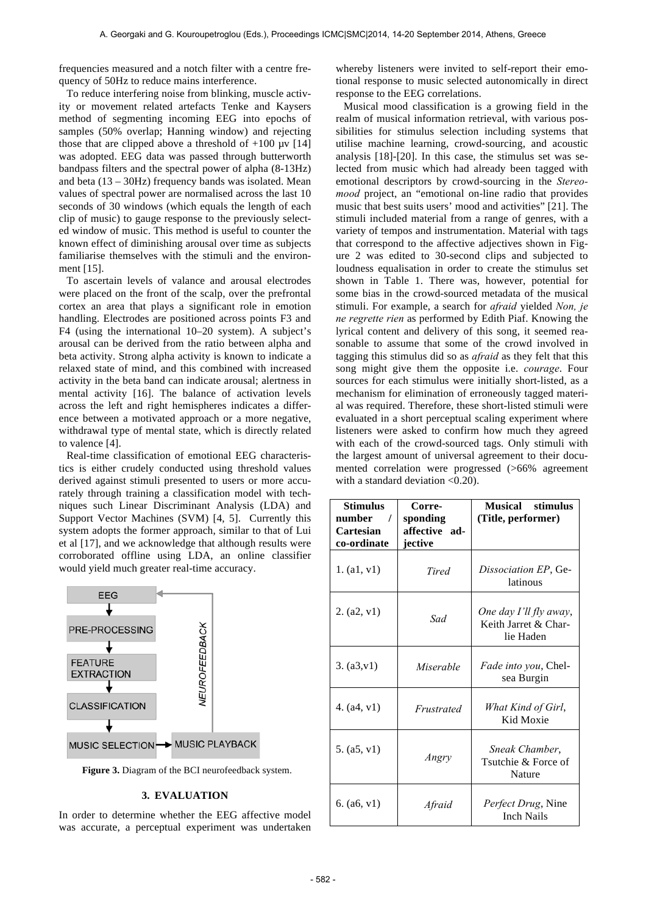frequencies measured and a notch filter with a centre frequency of 50Hz to reduce mains interference.

To reduce interfering noise from blinking, muscle activity or movement related artefacts Tenke and Kaysers method of segmenting incoming EEG into epochs of samples (50% overlap; Hanning window) and rejecting those that are clipped above a threshold of  $+100 \text{ µV}$  [14] was adopted. EEG data was passed through butterworth bandpass filters and the spectral power of alpha (8-13Hz) and beta  $(13 - 30Hz)$  frequency bands was isolated. Mean values of spectral power are normalised across the last 10 seconds of 30 windows (which equals the length of each clip of music) to gauge response to the previously selected window of music. This method is useful to counter the known effect of diminishing arousal over time as subjects familiarise themselves with the stimuli and the environment [15].

To ascertain levels of valance and arousal electrodes were placed on the front of the scalp, over the prefrontal cortex an area that plays a significant role in emotion handling. Electrodes are positioned across points F3 and F4 (using the international 10–20 system). A subject's arousal can be derived from the ratio between alpha and beta activity. Strong alpha activity is known to indicate a relaxed state of mind, and this combined with increased activity in the beta band can indicate arousal; alertness in mental activity [16]. The balance of activation levels across the left and right hemispheres indicates a difference between a motivated approach or a more negative, withdrawal type of mental state, which is directly related to valence [4].

Real-time classification of emotional EEG characteristics is either crudely conducted using threshold values derived against stimuli presented to users or more accurately through training a classification model with techniques such Linear Discriminant Analysis (LDA) and Support Vector Machines (SVM) [4, 5]. Currently this system adopts the former approach, similar to that of Lui et al [17], and we acknowledge that although results were corroborated offline using LDA, an online classifier would yield much greater real-time accuracy.



**Figure 3.** Diagram of the BCI neurofeedback system.

## **3. EVALUATION**

In order to determine whether the EEG affective model was accurate, a perceptual experiment was undertaken whereby listeners were invited to self-report their emotional response to music selected autonomically in direct response to the EEG correlations.

Musical mood classification is a growing field in the realm of musical information retrieval, with various possibilities for stimulus selection including systems that utilise machine learning, crowd-sourcing, and acoustic analysis [18]-[20]. In this case, the stimulus set was selected from music which had already been tagged with emotional descriptors by crowd-sourcing in the *Stereomood* project, an "emotional on-line radio that provides music that best suits users' mood and activities" [21]. The stimuli included material from a range of genres, with a variety of tempos and instrumentation. Material with tags that correspond to the affective adjectives shown in Figure 2 was edited to 30-second clips and subjected to loudness equalisation in order to create the stimulus set shown in Table 1. There was, however, potential for some bias in the crowd-sourced metadata of the musical stimuli. For example, a search for *afraid* yielded *Non, je ne regrette rien* as performed by Edith Piaf. Knowing the lyrical content and delivery of this song, it seemed reasonable to assume that some of the crowd involved in tagging this stimulus did so as *afraid* as they felt that this song might give them the opposite i.e. *courage*. Four sources for each stimulus were initially short-listed, as a mechanism for elimination of erroneously tagged material was required. Therefore, these short-listed stimuli were evaluated in a short perceptual scaling experiment where listeners were asked to confirm how much they agreed with each of the crowd-sourced tags. Only stimuli with the largest amount of universal agreement to their documented correlation were progressed (>66% agreement with a standard deviation <0.20).

| Stimulus<br>number<br>$\prime$<br>Cartesian<br>co-ordinate | Corre-<br>sponding<br>affective ad-<br>jective | Musical stimulus<br>(Title, performer)                      |
|------------------------------------------------------------|------------------------------------------------|-------------------------------------------------------------|
| 1. (a1, v1)                                                | Tired                                          | <i>Dissociation EP</i> , Ge-<br>latinous                    |
| 2. (a2, v1)                                                | Sad                                            | One day I'll fly away,<br>Keith Jarret & Char-<br>lie Haden |
| 3. (a3,v1)                                                 | Miserable                                      | <i>Fade into you</i> , Chel-<br>sea Burgin                  |
| 4. $(a4, v1)$                                              | Frustrated                                     | What Kind of Girl,<br>Kid Moxie                             |
| 5. (a5, v1)                                                | Angry                                          | Sneak Chamber,<br>Tsutchie & Force of<br>Nature             |
| 6. $(a6, v1)$                                              | Afraid                                         | <i>Perfect Drug</i> , Nine<br>Inch Nails                    |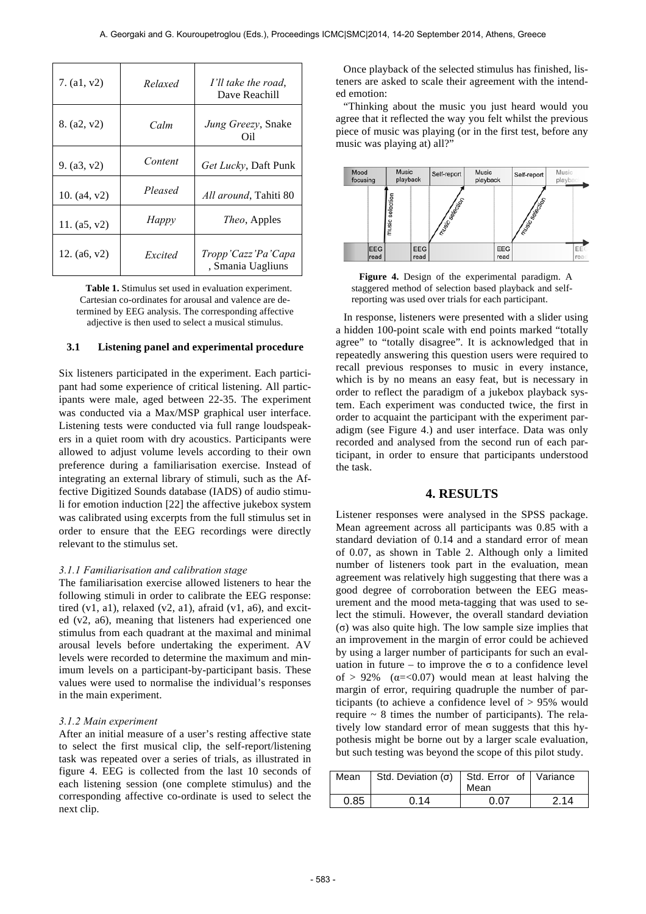| 7. $(a1, v2)$  | Relaxed | I'll take the road.<br>Dave Reachill    |
|----------------|---------|-----------------------------------------|
| 8. (a2, v2)    | Calm    | <i>Jung Greezy</i> , Snake<br>Oil       |
| 9. $(a3, v2)$  | Content | Get Lucky, Daft Punk                    |
| 10. $(a4, v2)$ | Pleased | All around, Tahiti 80                   |
| 11. $(a5, v2)$ | Happy   | <i>Theo</i> , Apples                    |
| 12. $(a6, v2)$ | Excited | Tropp'Cazz'Pa'Capa<br>, Smania Uagliuns |

**Table 1.** Stimulus set used in evaluation experiment. Cartesian co-ordinates for arousal and valence are determined by EEG analysis. The corresponding affective adjective is then used to select a musical stimulus.

## **3.1 Listening panel and experimental procedure**

Six listeners participated in the experiment. Each participant had some experience of critical listening. All participants were male, aged between 22-35. The experiment was conducted via a Max/MSP graphical user interface. Listening tests were conducted via full range loudspeakers in a quiet room with dry acoustics. Participants were allowed to adjust volume levels according to their own preference during a familiarisation exercise. Instead of integrating an external library of stimuli, such as the Affective Digitized Sounds database (IADS) of audio stimuli for emotion induction [22] the affective jukebox system was calibrated using excerpts from the full stimulus set in order to ensure that the EEG recordings were directly relevant to the stimulus set.

## *3.1.1 Familiarisation and calibration stage*

The familiarisation exercise allowed listeners to hear the following stimuli in order to calibrate the EEG response: tired  $(v1, a1)$ , relaxed  $(v2, a1)$ , afraid  $(v1, a6)$ , and excited (v2, a6), meaning that listeners had experienced one stimulus from each quadrant at the maximal and minimal arousal levels before undertaking the experiment. AV levels were recorded to determine the maximum and minimum levels on a participant-by-participant basis. These values were used to normalise the individual's responses in the main experiment.

#### *3.1.2 Main experiment*

After an initial measure of a user's resting affective state to select the first musical clip, the self-report/listening task was repeated over a series of trials, as illustrated in figure 4. EEG is collected from the last 10 seconds of each listening session (one complete stimulus) and the corresponding affective co-ordinate is used to select the next clip.

Once playback of the selected stimulus has finished, listeners are asked to scale their agreement with the intended emotion:

"Thinking about the music you just heard would you agree that it reflected the way you felt whilst the previous piece of music was playing (or in the first test, before any music was playing at) all?"



**Figure 4.** Design of the experimental paradigm. A staggered method of selection based playback and selfreporting was used over trials for each participant.

In response, listeners were presented with a slider using a hidden 100-point scale with end points marked "totally agree" to "totally disagree". It is acknowledged that in repeatedly answering this question users were required to recall previous responses to music in every instance, which is by no means an easy feat, but is necessary in order to reflect the paradigm of a jukebox playback system. Each experiment was conducted twice, the first in order to acquaint the participant with the experiment paradigm (see Figure 4.) and user interface. Data was only recorded and analysed from the second run of each participant, in order to ensure that participants understood the task.

# **4. RESULTS**

Listener responses were analysed in the SPSS package. Mean agreement across all participants was 0.85 with a standard deviation of 0.14 and a standard error of mean of 0.07, as shown in Table 2. Although only a limited number of listeners took part in the evaluation, mean agreement was relatively high suggesting that there was a good degree of corroboration between the EEG measurement and the mood meta-tagging that was used to select the stimuli. However, the overall standard deviation (σ) was also quite high. The low sample size implies that an improvement in the margin of error could be achieved by using a larger number of participants for such an evaluation in future – to improve the  $\sigma$  to a confidence level of  $> 92\%$  ( $\alpha = < 0.07$ ) would mean at least halving the margin of error, requiring quadruple the number of participants (to achieve a confidence level of > 95% would require  $\sim 8$  times the number of participants). The relatively low standard error of mean suggests that this hypothesis might be borne out by a larger scale evaluation, but such testing was beyond the scope of this pilot study.

| Mean I | Std. Deviation $(\sigma)$ Std. Error of Variance | Mean |     |
|--------|--------------------------------------------------|------|-----|
| 0.85   | 0.14                                             | በ በ7 | 214 |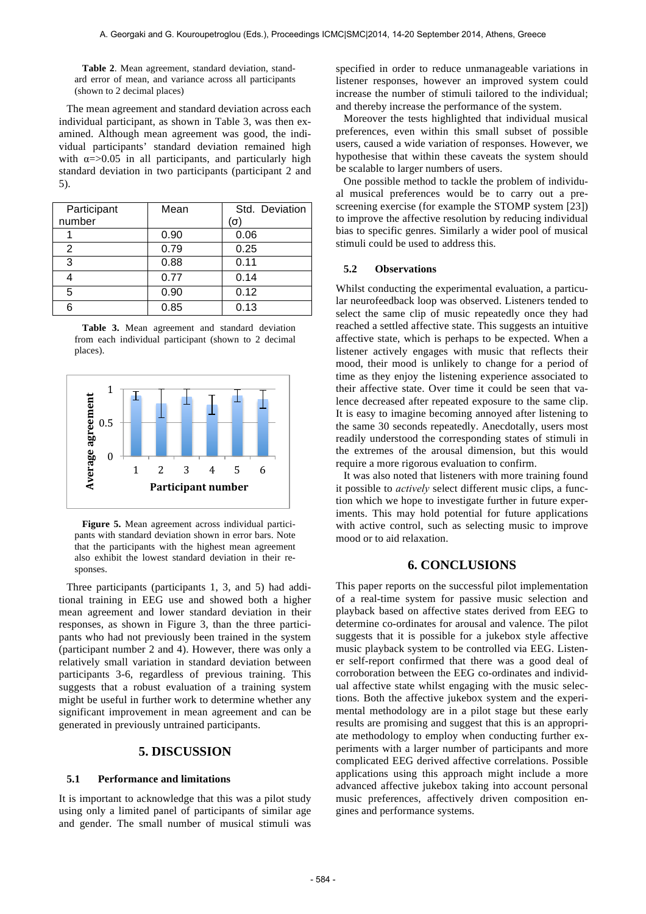**Table 2**. Mean agreement, standard deviation, standard error of mean, and variance across all participants (shown to 2 decimal places)

The mean agreement and standard deviation across each individual participant, as shown in Table 3, was then examined. Although mean agreement was good, the individual participants' standard deviation remained high with  $\alpha = > 0.05$  in all participants, and particularly high standard deviation in two participants (participant 2 and 5).

| Participant | Mean | Std. Deviation |
|-------------|------|----------------|
| number      |      | $(\sigma)$     |
|             | 0.90 | 0.06           |
| 2           | 0.79 | 0.25           |
| 3           | 0.88 | 0.11           |
|             | 0.77 | 0.14           |
| 5           | 0.90 | 0.12           |
|             | 0.85 | 0.13           |

**Table 3.** Mean agreement and standard deviation from each individual participant (shown to 2 decimal places).



**Figure 5.** Mean agreement across individual participants with standard deviation shown in error bars. Note that the participants with the highest mean agreement also exhibit the lowest standard deviation in their responses.

Three participants (participants 1, 3, and 5) had additional training in EEG use and showed both a higher mean agreement and lower standard deviation in their responses, as shown in Figure 3, than the three participants who had not previously been trained in the system (participant number 2 and 4). However, there was only a relatively small variation in standard deviation between participants 3-6, regardless of previous training. This suggests that a robust evaluation of a training system might be useful in further work to determine whether any significant improvement in mean agreement and can be generated in previously untrained participants.

## **5. DISCUSSION**

#### **5.1 Performance and limitations**

It is important to acknowledge that this was a pilot study using only a limited panel of participants of similar age and gender. The small number of musical stimuli was specified in order to reduce unmanageable variations in listener responses, however an improved system could increase the number of stimuli tailored to the individual; and thereby increase the performance of the system.

Moreover the tests highlighted that individual musical preferences, even within this small subset of possible users, caused a wide variation of responses. However, we hypothesise that within these caveats the system should be scalable to larger numbers of users.

One possible method to tackle the problem of individual musical preferences would be to carry out a prescreening exercise (for example the STOMP system [23]) to improve the affective resolution by reducing individual bias to specific genres. Similarly a wider pool of musical stimuli could be used to address this.

## **5.2 Observations**

Whilst conducting the experimental evaluation, a particular neurofeedback loop was observed. Listeners tended to select the same clip of music repeatedly once they had reached a settled affective state. This suggests an intuitive affective state, which is perhaps to be expected. When a listener actively engages with music that reflects their mood, their mood is unlikely to change for a period of time as they enjoy the listening experience associated to their affective state. Over time it could be seen that valence decreased after repeated exposure to the same clip. It is easy to imagine becoming annoyed after listening to the same 30 seconds repeatedly. Anecdotally, users most readily understood the corresponding states of stimuli in the extremes of the arousal dimension, but this would require a more rigorous evaluation to confirm.

It was also noted that listeners with more training found it possible to *actively* select different music clips, a function which we hope to investigate further in future experiments. This may hold potential for future applications with active control, such as selecting music to improve mood or to aid relaxation.

# **6. CONCLUSIONS**

This paper reports on the successful pilot implementation of a real-time system for passive music selection and playback based on affective states derived from EEG to determine co-ordinates for arousal and valence. The pilot suggests that it is possible for a jukebox style affective music playback system to be controlled via EEG. Listener self-report confirmed that there was a good deal of corroboration between the EEG co-ordinates and individual affective state whilst engaging with the music selections. Both the affective jukebox system and the experimental methodology are in a pilot stage but these early results are promising and suggest that this is an appropriate methodology to employ when conducting further experiments with a larger number of participants and more complicated EEG derived affective correlations. Possible applications using this approach might include a more advanced affective jukebox taking into account personal music preferences, affectively driven composition engines and performance systems.